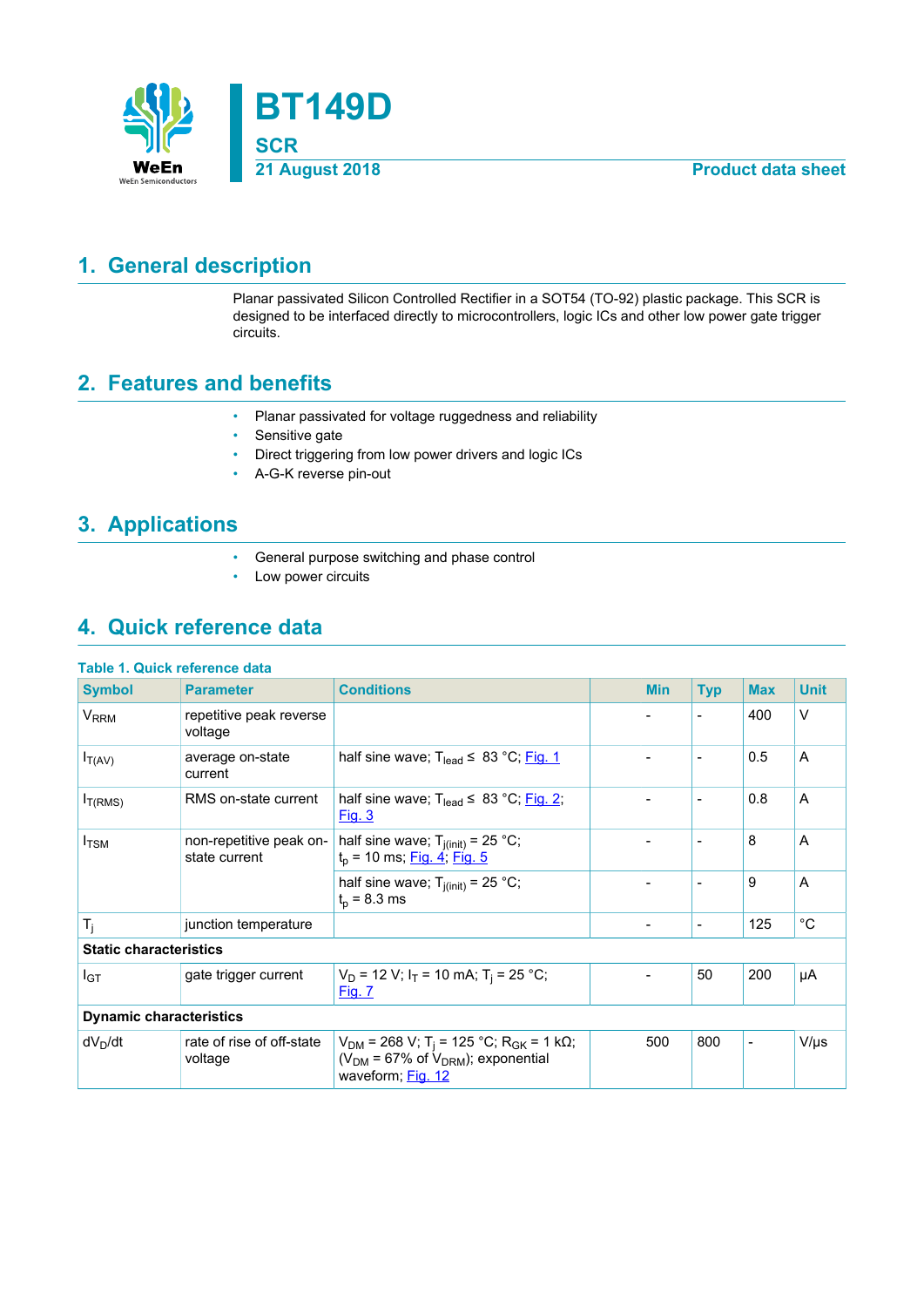

## <span id="page-0-0"></span>**1. General description**

Planar passivated Silicon Controlled Rectifier in a SOT54 (TO-92) plastic package. This SCR is designed to be interfaced directly to microcontrollers, logic ICs and other low power gate trigger circuits.

### <span id="page-0-1"></span>**2. Features and benefits**

- Planar passivated for voltage ruggedness and reliability
- Sensitive gate
- Direct triggering from low power drivers and logic ICs
- A-G-K reverse pin-out

### <span id="page-0-2"></span>**3. Applications**

- General purpose switching and phase control
- Low power circuits

### <span id="page-0-3"></span>**4. Quick reference data**

#### **Table 1. Quick reference data**

| <b>Symbol</b>                  | <b>Parameter</b>                         | <b>Conditions</b>                                                                                                                       |  | <b>Min</b>                   | <b>Typ</b>               | <b>Max</b>               | <b>Unit</b> |
|--------------------------------|------------------------------------------|-----------------------------------------------------------------------------------------------------------------------------------------|--|------------------------------|--------------------------|--------------------------|-------------|
| $V_{RRM}$                      | repetitive peak reverse<br>voltage       |                                                                                                                                         |  |                              | $\overline{\phantom{a}}$ | 400                      | $\vee$      |
| $I_{T(AV)}$                    | average on-state<br>current              | half sine wave; $T_{lead} \leq 83 \degree C$ ; Fig. 1                                                                                   |  | $\overline{\phantom{a}}$     | $\overline{\phantom{a}}$ | 0.5                      | A           |
| I <sub>T(RMS)</sub>            | RMS on-state current                     | half sine wave; $T_{lead} \leq 83 °C$ ; Fig. 2;<br><u>Fig. 3</u>                                                                        |  | $\qquad \qquad \blacksquare$ | $\overline{\phantom{a}}$ | 0.8                      | A           |
| $I_{\rm TSM}$                  | non-repetitive peak on-<br>state current | half sine wave; $T_{i(int)} = 25 °C$ ;<br>$t_p$ = 10 ms; <u>Fig. 4; Fig. 5</u>                                                          |  |                              | $\blacksquare$           | 8                        | A           |
|                                |                                          | half sine wave; $T_{i(int)} = 25$ °C;<br>$t_{p}$ = 8.3 ms                                                                               |  |                              | $\overline{\phantom{a}}$ | 9                        | A           |
| $T_i$                          | junction temperature                     |                                                                                                                                         |  | $\qquad \qquad \blacksquare$ | $\overline{\phantom{a}}$ | 125                      | $^{\circ}C$ |
| <b>Static characteristics</b>  |                                          |                                                                                                                                         |  |                              |                          |                          |             |
| I <sub>GT</sub>                | gate trigger current                     | $V_D$ = 12 V; I <sub>T</sub> = 10 mA; T <sub>i</sub> = 25 °C;<br><u>Fig. 7</u>                                                          |  | $\overline{\phantom{a}}$     | 50                       | 200                      | μA          |
| <b>Dynamic characteristics</b> |                                          |                                                                                                                                         |  |                              |                          |                          |             |
| $dV_D/dt$                      | rate of rise of off-state<br>voltage     | $V_{DM}$ = 268 V; T <sub>i</sub> = 125 °C; R <sub>GK</sub> = 1 kΩ;<br>( $V_{DM}$ = 67% of $V_{DRM}$ ); exponential<br>waveform; Fig. 12 |  | 500                          | 800                      | $\overline{\phantom{a}}$ | $V/\mu s$   |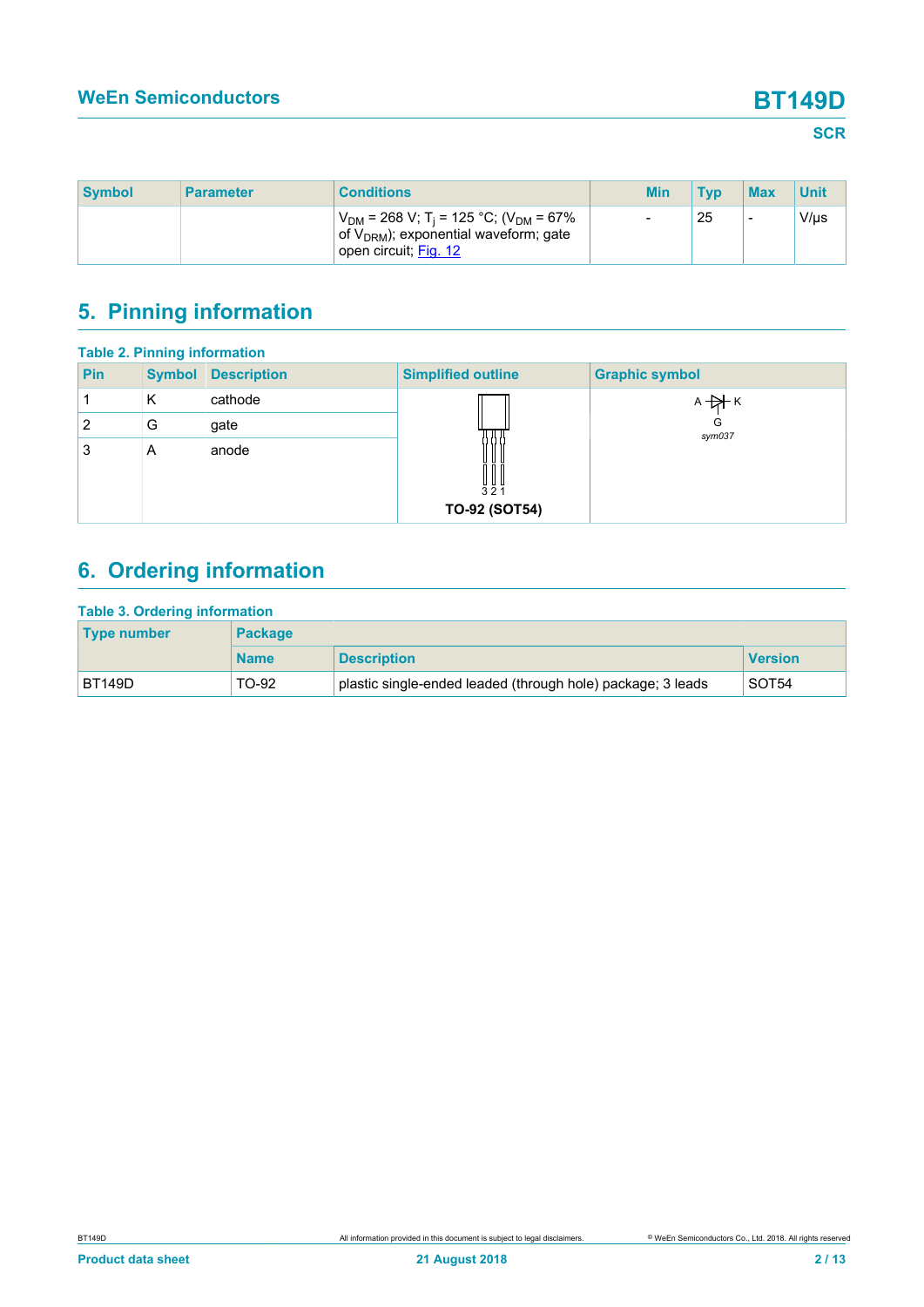| <b>Symbol</b> | <b>Parameter</b> | <b>Conditions</b>                                                                                                                        | <b>Min</b>               | <b>Tvp</b> | <b>Max</b> | Unit      |
|---------------|------------------|------------------------------------------------------------------------------------------------------------------------------------------|--------------------------|------------|------------|-----------|
|               |                  | $V_{DM}$ = 268 V; T <sub>i</sub> = 125 °C; (V <sub>DM</sub> = 67%<br>of $V_{DRM}$ ); exponential waveform; gate<br>open circuit: Fig. 12 | $\overline{\phantom{a}}$ | 25         | -          | $V/\mu s$ |

# <span id="page-1-0"></span>**5. Pinning information**

|                | <b>Table 2. Pinning information</b> |                    |                                                                    |                       |  |  |  |  |
|----------------|-------------------------------------|--------------------|--------------------------------------------------------------------|-----------------------|--|--|--|--|
| <b>Pin</b>     | <b>Symbol</b>                       | <b>Description</b> | <b>Simplified outline</b>                                          | <b>Graphic symbol</b> |  |  |  |  |
|                | Κ                                   | cathode            |                                                                    | $A + A K$             |  |  |  |  |
| $\overline{2}$ | G                                   | gate               |                                                                    | G<br>sym037           |  |  |  |  |
| 3              | A                                   | anode              | $\begin{array}{c} 1 & 0 \\ 3 & 2 & 1 \end{array}$<br>TO-92 (SOT54) |                       |  |  |  |  |
|                |                                     |                    |                                                                    |                       |  |  |  |  |

# <span id="page-1-1"></span>**6. Ordering information**

| <b>Table 3. Ordering information</b> |                |                                                             |                   |  |  |  |  |
|--------------------------------------|----------------|-------------------------------------------------------------|-------------------|--|--|--|--|
| Type number                          | <b>Package</b> |                                                             |                   |  |  |  |  |
|                                      | <b>Name</b>    | <b>Description</b>                                          | <b>Version</b>    |  |  |  |  |
| <b>BT149D</b>                        | TO-92          | plastic single-ended leaded (through hole) package; 3 leads | SOT <sub>54</sub> |  |  |  |  |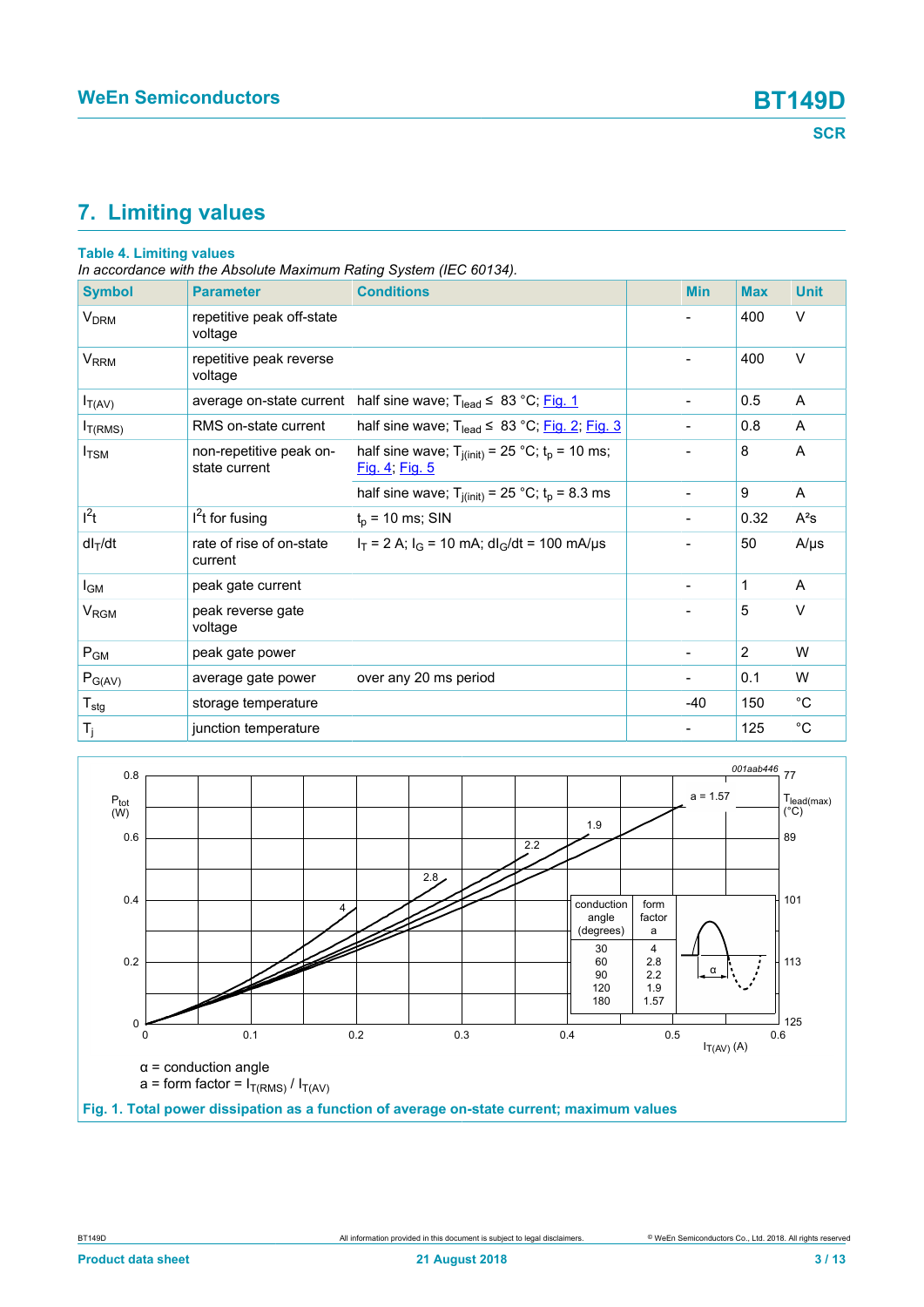# <span id="page-2-1"></span>**7. Limiting values**

### **Table 4. Limiting values**

*In accordance with the Absolute Maximum Rating System (IEC 60134).*

| <b>Symbol</b>               | <b>Parameter</b>                         | <b>Conditions</b>                                                       | <b>Min</b>                   | <b>Max</b>     | <b>Unit</b> |
|-----------------------------|------------------------------------------|-------------------------------------------------------------------------|------------------------------|----------------|-------------|
| V <sub>DRM</sub>            | repetitive peak off-state<br>voltage     |                                                                         |                              | 400            | $\vee$      |
| V <sub>RRM</sub>            | repetitive peak reverse<br>voltage       |                                                                         | $\overline{\phantom{a}}$     | 400            | $\vee$      |
| $I_{T(AV)}$                 | average on-state current                 | half sine wave; $T_{lead} \leq 83 \degree C$ ; Fig. 1                   | $\overline{\phantom{a}}$     | 0.5            | A           |
| I <sub>T(RMS)</sub>         | RMS on-state current                     | half sine wave; $T_{lead} \leq 83 °C$ ; Fig. 2; Fig. 3                  | $\qquad \qquad \blacksquare$ | 0.8            | A           |
| I <sub>TSM</sub>            | non-repetitive peak on-<br>state current | half sine wave; $T_{j(int)} = 25 °C$ ; $t_p = 10$ ms;<br>Fig. 4; Fig. 5 | $\blacksquare$               | 8              | A           |
|                             |                                          | half sine wave; $T_{j(int)} = 25 °C$ ; $t_p = 8.3$ ms                   | $\blacksquare$               | 9              | A           |
| $l^2t$                      | $I2t$ for fusing                         | $t_p = 10$ ms; SIN                                                      |                              | 0.32           | $A^2s$      |
| $dl_T/dt$                   | rate of rise of on-state<br>current      | $I_T = 2$ A; $I_G = 10$ mA; dl <sub>G</sub> /dt = 100 mA/µs             | $\blacksquare$               | 50             | $A/\mu s$   |
| $I_{\mathsf{GM}}$           | peak gate current                        |                                                                         |                              | 1              | A           |
| V <sub>RGM</sub>            | peak reverse gate<br>voltage             |                                                                         |                              | 5              | $\vee$      |
| $P_{GM}$                    | peak gate power                          |                                                                         |                              | $\overline{2}$ | W           |
| $P_{G(AV)}$                 | average gate power                       | over any 20 ms period                                                   |                              | 0.1            | W           |
| $\mathsf{T}_{\textsf{stg}}$ | storage temperature                      |                                                                         | $-40$                        | 150            | $^{\circ}C$ |
| $T_j$                       | junction temperature                     |                                                                         |                              | 125            | $^{\circ}C$ |

<span id="page-2-0"></span>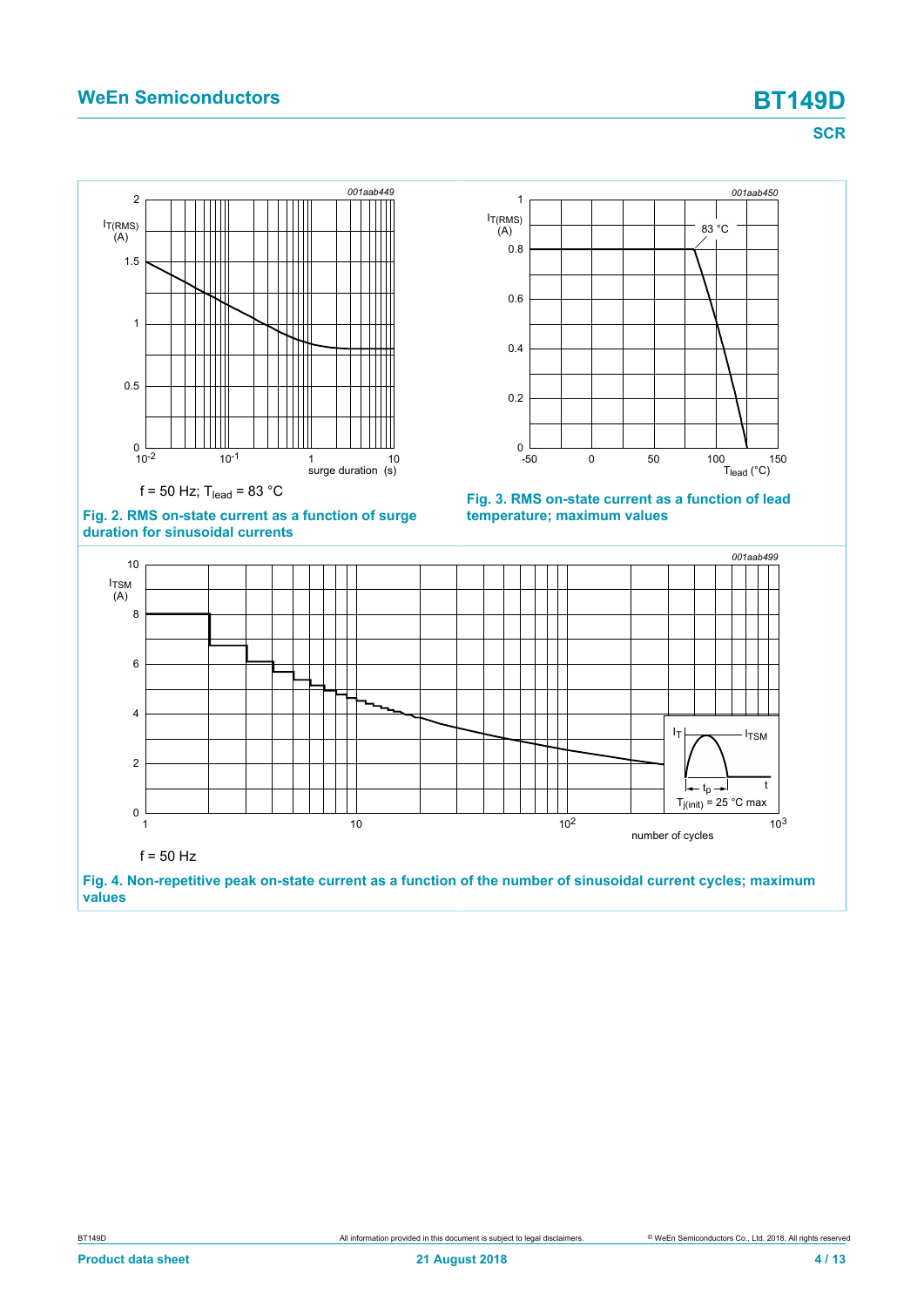### **WeEn Semiconductors BT149D**

<span id="page-3-1"></span>**SCR**

<span id="page-3-2"></span><span id="page-3-0"></span>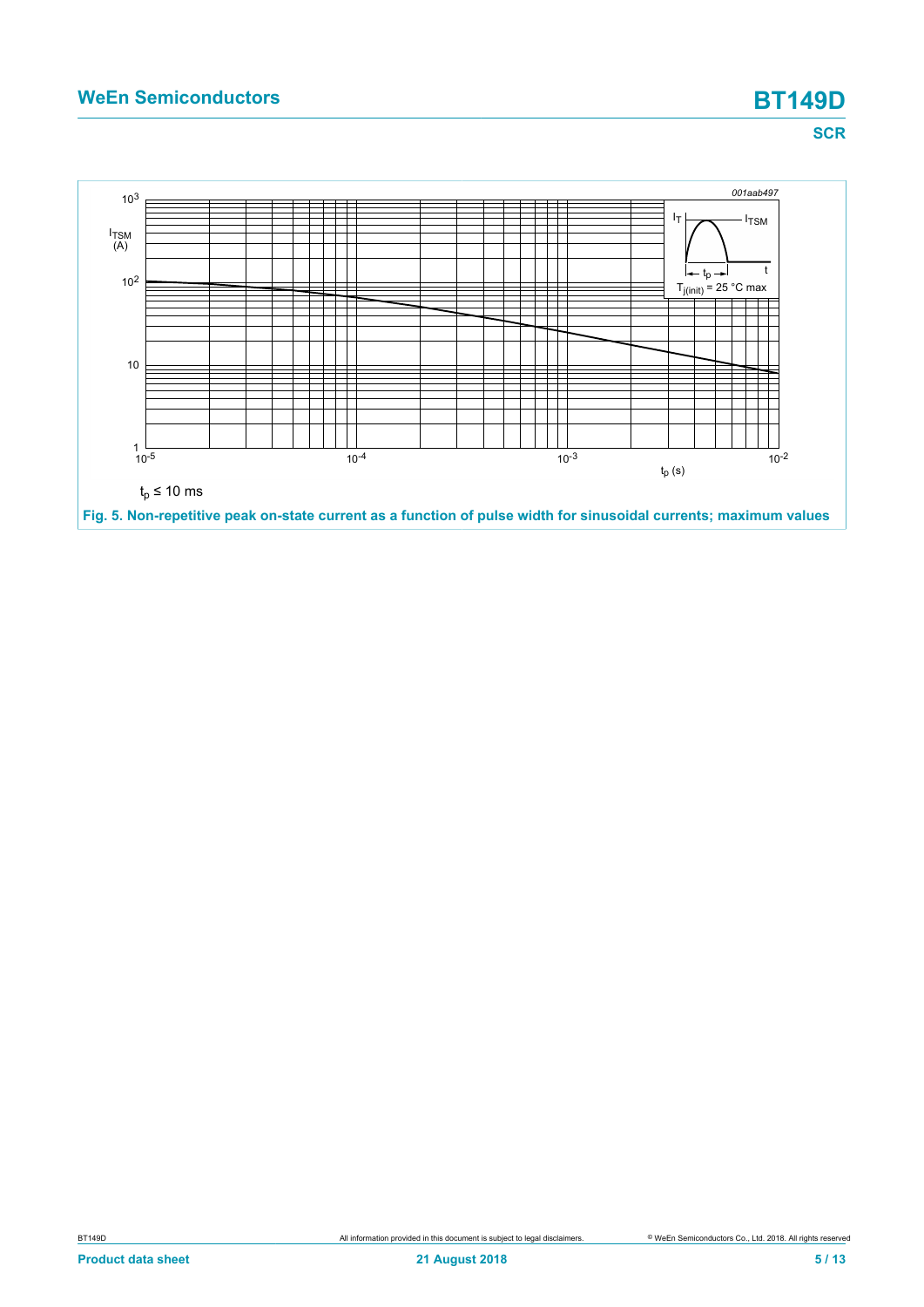

<span id="page-4-0"></span>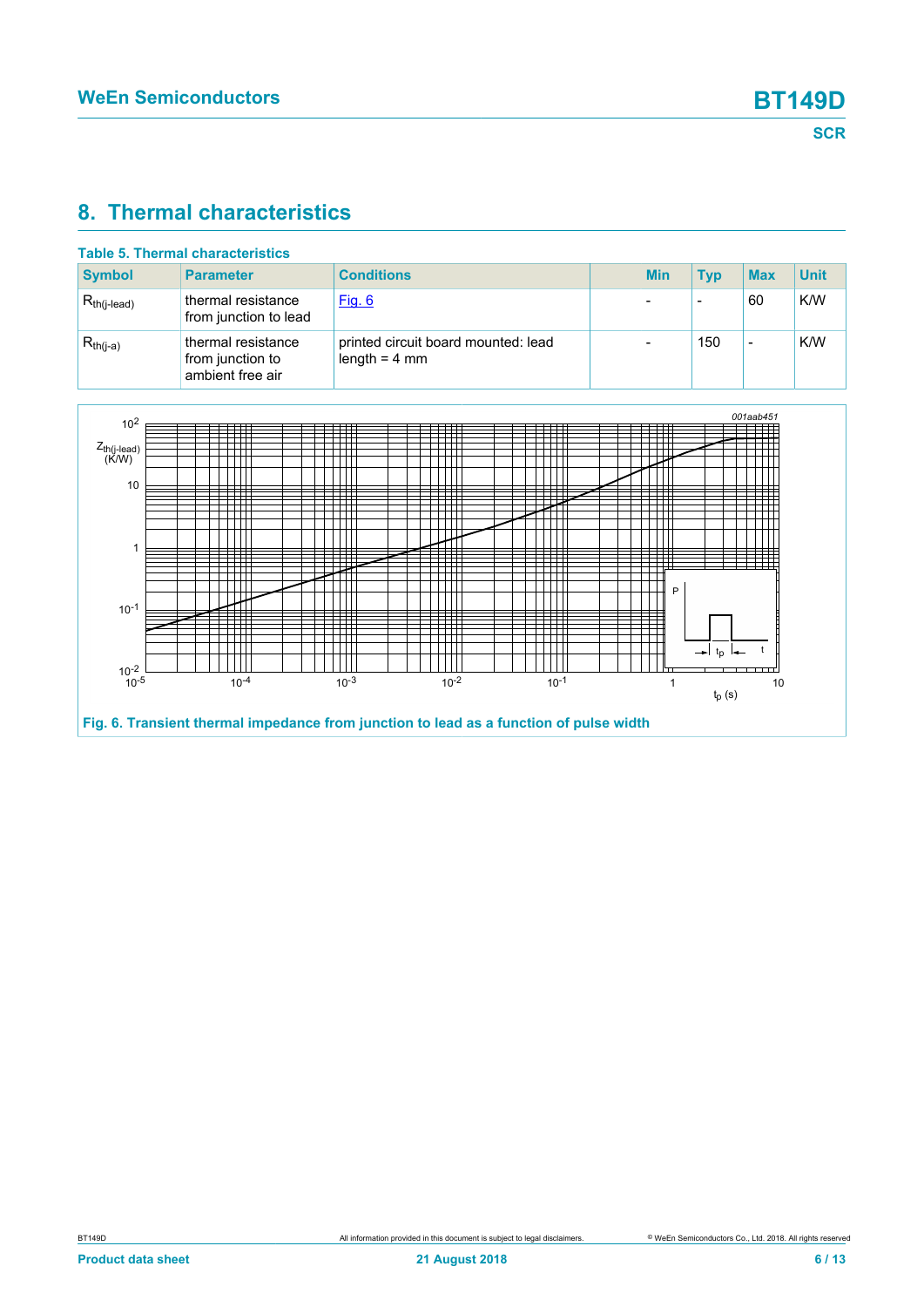### <span id="page-5-1"></span>**8. Thermal characteristics**

| <b>Table 5. Thermal characteristics</b> |                                                            |                                                        |  |            |            |            |             |
|-----------------------------------------|------------------------------------------------------------|--------------------------------------------------------|--|------------|------------|------------|-------------|
| <b>Symbol</b>                           | <b>Parameter</b>                                           | <b>Conditions</b>                                      |  | <b>Min</b> | <b>Typ</b> | <b>Max</b> | <b>Unit</b> |
| $R_{th(i-lead)}$                        | thermal resistance<br>from junction to lead                | <u>Fig. 6</u>                                          |  |            |            | 60         | K/W         |
| $R_{th(i-a)}$                           | thermal resistance<br>from junction to<br>ambient free air | printed circuit board mounted: lead<br>length $=$ 4 mm |  |            | 150        | -          | K/W         |

<span id="page-5-0"></span>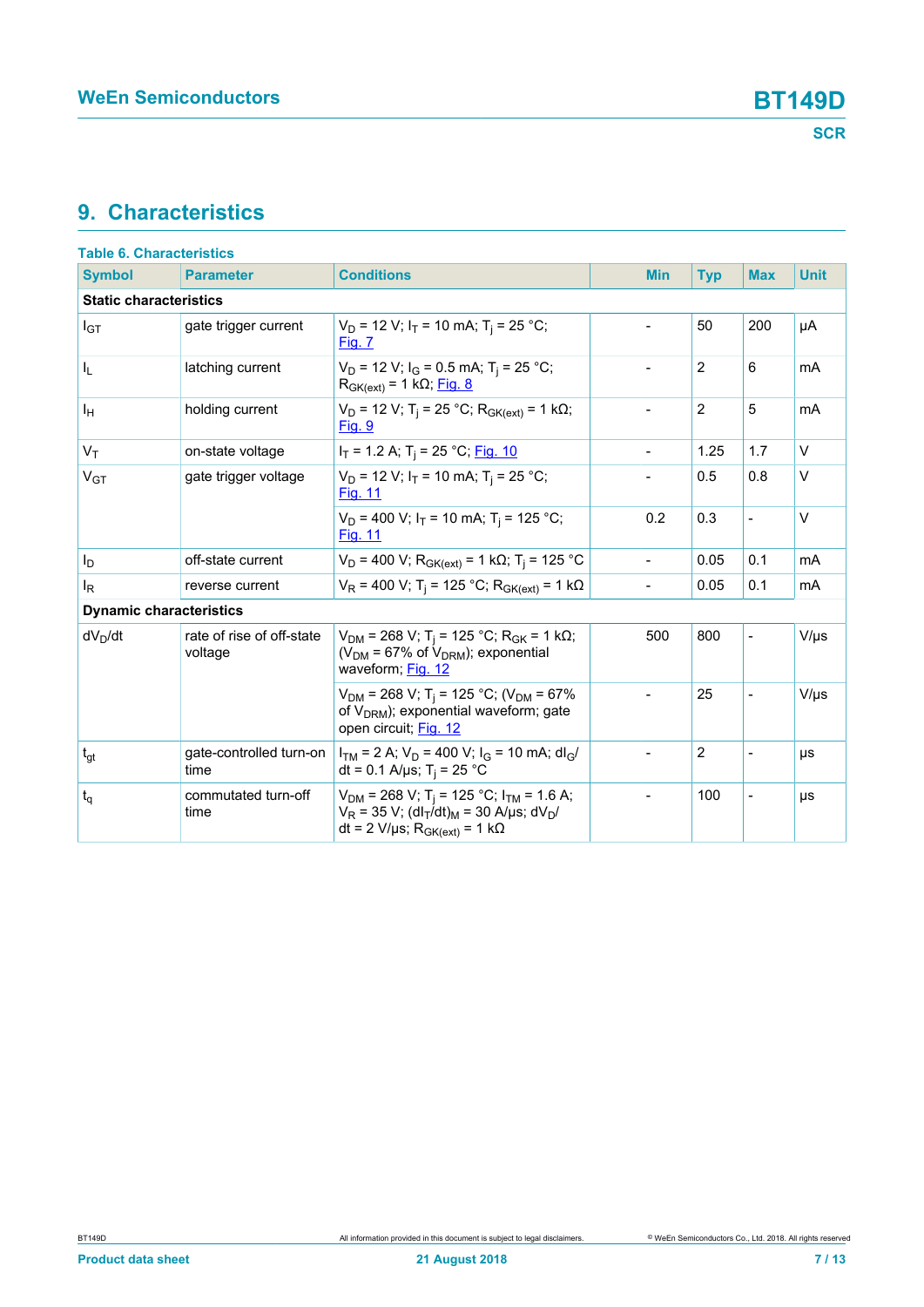## <span id="page-6-0"></span>**9. Characteristics**

| <b>Table 6. Characteristics</b> |                                      |                                                                                                                                                                                                |                          |                |                          |             |
|---------------------------------|--------------------------------------|------------------------------------------------------------------------------------------------------------------------------------------------------------------------------------------------|--------------------------|----------------|--------------------------|-------------|
| <b>Symbol</b>                   | <b>Parameter</b>                     | <b>Conditions</b>                                                                                                                                                                              | <b>Min</b>               | <b>Typ</b>     | <b>Max</b>               | <b>Unit</b> |
| <b>Static characteristics</b>   |                                      |                                                                                                                                                                                                |                          |                |                          |             |
| $I_{GT}$                        | gate trigger current                 | $V_D$ = 12 V; $I_T$ = 10 mA; T <sub>i</sub> = 25 °C;<br>Fig. 7                                                                                                                                 | $\overline{\phantom{0}}$ | 50             | 200                      | μA          |
| I <sub>L</sub>                  | latching current                     | $V_D$ = 12 V; I <sub>G</sub> = 0.5 mA; T <sub>i</sub> = 25 °C;<br>$R_{GK(ext)} = 1 k\Omega$ ; Fig. 8                                                                                           | $\overline{a}$           | 2              | 6                        | mA          |
| ΙH                              | holding current                      | $V_D$ = 12 V; T <sub>i</sub> = 25 °C; R <sub>GK(ext)</sub> = 1 kΩ;<br><u>Fig. 9</u>                                                                                                            | $\overline{a}$           | $\overline{2}$ | 5                        | mA          |
| $V_T$                           | on-state voltage                     | $I_T$ = 1.2 A; T <sub>i</sub> = 25 °C; Fig. 10                                                                                                                                                 | $\overline{\phantom{0}}$ | 1.25           | 1.7                      | $\vee$      |
| $V_{GT}$                        | gate trigger voltage                 | $V_D$ = 12 V; $I_T$ = 10 mA; T <sub>j</sub> = 25 °C;<br><b>Fig. 11</b>                                                                                                                         |                          | 0.5            | 0.8                      | $\vee$      |
|                                 |                                      | $V_D$ = 400 V; $I_T$ = 10 mA; T <sub>i</sub> = 125 °C;<br>Fig. 11                                                                                                                              | 0.2                      | 0.3            | $\frac{1}{2}$            | $\vee$      |
| I <sub>D</sub>                  | off-state current                    | $V_D$ = 400 V; R <sub>GK(ext)</sub> = 1 kΩ; T <sub>j</sub> = 125 °C                                                                                                                            | $\overline{a}$           | 0.05           | 0.1                      | mA          |
| ΙR                              | reverse current                      | $V_R$ = 400 V; T <sub>i</sub> = 125 °C; R <sub>GK(ext)</sub> = 1 kΩ                                                                                                                            |                          | 0.05           | 0.1                      | mA          |
| <b>Dynamic characteristics</b>  |                                      |                                                                                                                                                                                                |                          |                |                          |             |
| $dV_D/dt$                       | rate of rise of off-state<br>voltage | $V_{DM}$ = 268 V; T <sub>i</sub> = 125 °C; R <sub>GK</sub> = 1 kΩ;<br>( $V_{DM}$ = 67% of $V_{DRM}$ ); exponential<br>waveform; Fig. 12                                                        | 500                      | 800            | $\overline{a}$           | $V/\mu s$   |
|                                 |                                      | $V_{DM}$ = 268 V; T <sub>i</sub> = 125 °C; (V <sub>DM</sub> = 67%<br>of V <sub>DRM</sub> ); exponential waveform; gate<br>open circuit; Fig. 12                                                | $\overline{\phantom{0}}$ | 25             | $\blacksquare$           | $V/\mu s$   |
| $t_{gt}$                        | gate-controlled turn-on<br>time      | $I_{TM}$ = 2 A; $V_D$ = 400 V; $I_G$ = 10 mA; dl <sub>G</sub> /<br>dt = 0.1 A/µs; T <sub>i</sub> = 25 °C                                                                                       |                          | $\overline{2}$ | $\overline{\phantom{a}}$ | μs          |
| $t_q$                           | commutated turn-off<br>time          | $V_{DM}$ = 268 V; T <sub>i</sub> = 125 °C; I <sub>TM</sub> = 1.6 A;<br>$V_R$ = 35 V; (dl <sub>T</sub> /dt) <sub>M</sub> = 30 A/µs; dV <sub>D</sub> /<br>dt = 2 V/µs; $R_{GK(ext)} = 1 k\Omega$ |                          | 100            | $\overline{a}$           | μs          |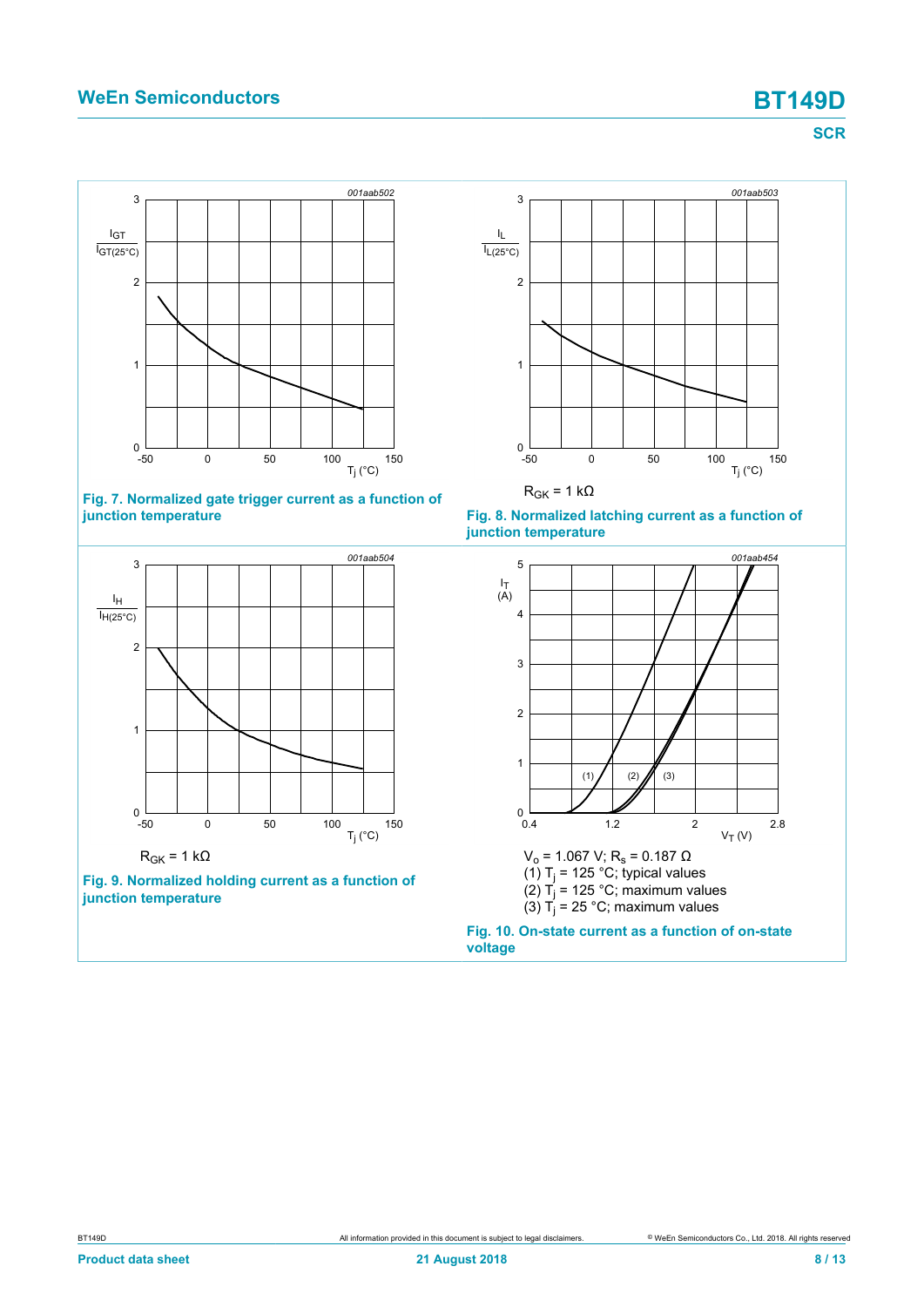### **WeEn Semiconductors BT149D**

**SCR**

<span id="page-7-0"></span>



<span id="page-7-2"></span>

<span id="page-7-1"></span>![](_page_7_Figure_6.jpeg)

![](_page_7_Figure_7.jpeg)

![](_page_7_Figure_8.jpeg)

<span id="page-7-3"></span>![](_page_7_Figure_9.jpeg)

**Fig. 10. On-state current as a function of on-state voltage**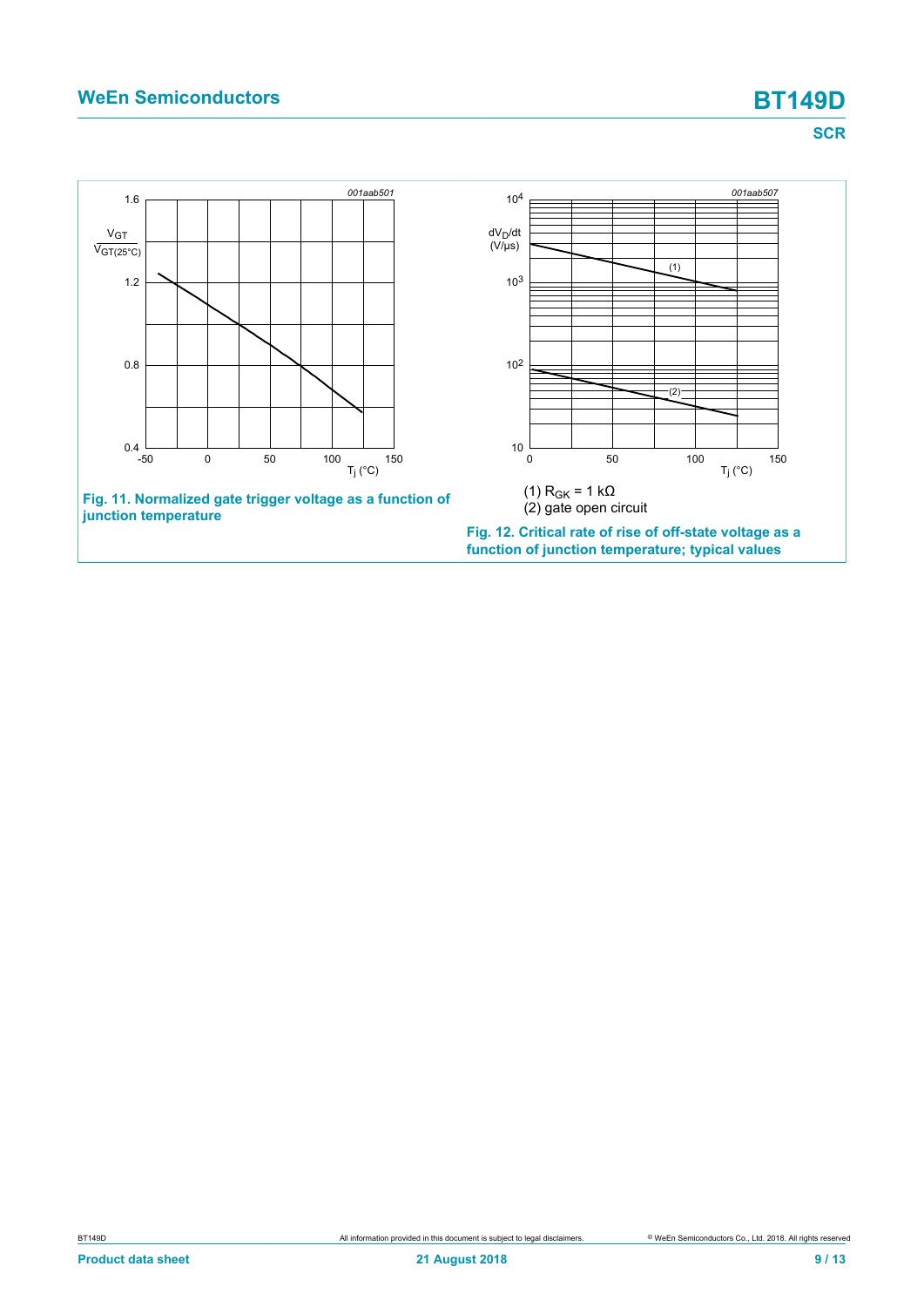### **WeEn Semiconductors BT149D**

<span id="page-8-0"></span>**SCR**

<span id="page-8-1"></span>![](_page_8_Figure_3.jpeg)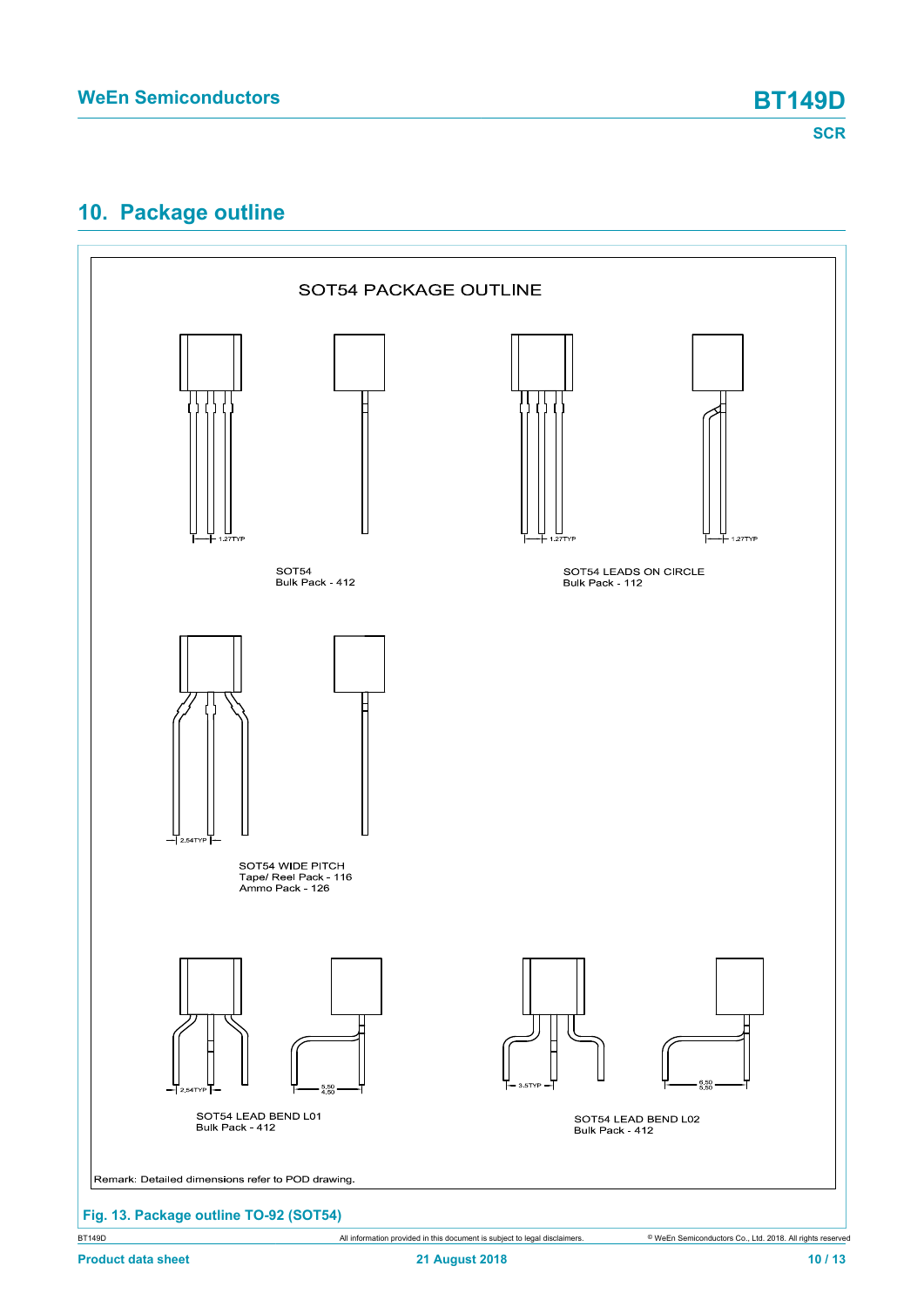# <span id="page-9-0"></span>**10. Package outline**

![](_page_9_Figure_4.jpeg)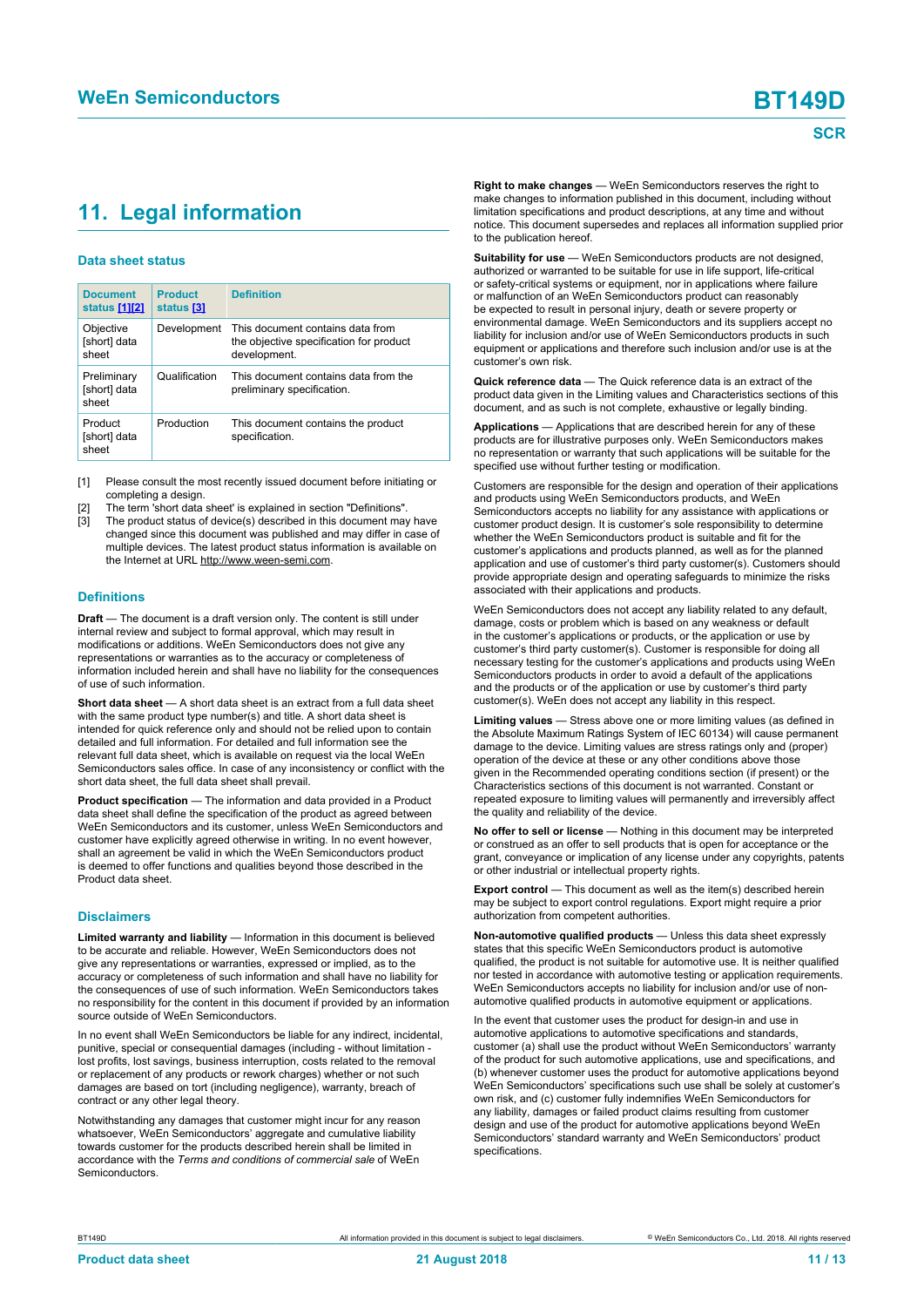# <span id="page-10-1"></span><span id="page-10-0"></span>**11. Legal information**

#### **Data sheet status**

| <b>Document</b><br>status [1][2]     | <b>Product</b><br>status [3] | <b>Definition</b>                                                                           |
|--------------------------------------|------------------------------|---------------------------------------------------------------------------------------------|
| Objective<br>[short] data<br>sheet   | Development                  | This document contains data from<br>the objective specification for product<br>development. |
| Preliminary<br>[short] data<br>sheet | Qualification                | This document contains data from the<br>preliminary specification.                          |
| Product<br>[short] data<br>sheet     | Production                   | This document contains the product<br>specification.                                        |

[1] Please consult the most recently issued document before initiating or completing a design.

- The term 'short data sheet' is explained in section "Definitions".
- The product status of device(s) described in this document may have changed since this document was published and may differ in case of multiple devices. The latest product status information is available on the Internet at URL http://www.ween-semi.com.

#### **Definitions**

**Draft** — The document is a draft version only. The content is still under internal review and subject to formal approval, which may result in modifications or additions. WeEn Semiconductors does not give any representations or warranties as to the accuracy or completeness of information included herein and shall have no liability for the consequences of use of such information.

**Short data sheet** — A short data sheet is an extract from a full data sheet with the same product type number(s) and title. A short data sheet is intended for quick reference only and should not be relied upon to contain detailed and full information. For detailed and full information see the relevant full data sheet, which is available on request via the local WeEn Semiconductors sales office. In case of any inconsistency or conflict with the short data sheet, the full data sheet shall prevail.

**Product specification** — The information and data provided in a Product data sheet shall define the specification of the product as agreed between WeEn Semiconductors and its customer, unless WeEn Semiconductors and customer have explicitly agreed otherwise in writing. In no event however, shall an agreement be valid in which the WeEn Semiconductors product is deemed to offer functions and qualities beyond those described in the Product data sheet.

#### **Disclaimers**

**Limited warranty and liability** — Information in this document is believed to be accurate and reliable. However, WeEn Semiconductors does not give any representations or warranties, expressed or implied, as to the accuracy or completeness of such information and shall have no liability for the consequences of use of such information. WeEn Semiconductors takes no responsibility for the content in this document if provided by an information source outside of WeEn Semiconductors.

In no event shall WeEn Semiconductors be liable for any indirect, incidental, punitive, special or consequential damages (including - without limitation lost profits, lost savings, business interruption, costs related to the removal or replacement of any products or rework charges) whether or not such damages are based on tort (including negligence), warranty, breach of contract or any other legal theory.

Notwithstanding any damages that customer might incur for any reason whatsoever, WeEn Semiconductors' aggregate and cumulative liability towards customer for the products described herein shall be limited in accordance with the *Terms and conditions of commercial sale* of WeEn **Semiconductors** 

**Right to make changes** — WeEn Semiconductors reserves the right to make changes to information published in this document, including without limitation specifications and product descriptions, at any time and without notice. This document supersedes and replaces all information supplied prior to the publication hereof.

**Suitability for use** — WeEn Semiconductors products are not designed, authorized or warranted to be suitable for use in life support, life-critical or safety-critical systems or equipment, nor in applications where failure or malfunction of an WeEn Semiconductors product can reasonably be expected to result in personal injury, death or severe property or environmental damage. WeEn Semiconductors and its suppliers accept no liability for inclusion and/or use of WeEn Semiconductors products in such equipment or applications and therefore such inclusion and/or use is at the customer's own risk.

**Quick reference data** — The Quick reference data is an extract of the product data given in the Limiting values and Characteristics sections of this document, and as such is not complete, exhaustive or legally binding.

**Applications** — Applications that are described herein for any of these products are for illustrative purposes only. WeEn Semiconductors makes no representation or warranty that such applications will be suitable for the specified use without further testing or modification.

Customers are responsible for the design and operation of their applications and products using WeEn Semiconductors products, and WeEn Semiconductors accepts no liability for any assistance with applications or customer product design. It is customer's sole responsibility to determine whether the WeEn Semiconductors product is suitable and fit for the customer's applications and products planned, as well as for the planned application and use of customer's third party customer(s). Customers should provide appropriate design and operating safeguards to minimize the risks associated with their applications and products.

WeEn Semiconductors does not accept any liability related to any default, damage, costs or problem which is based on any weakness or default in the customer's applications or products, or the application or use by customer's third party customer(s). Customer is responsible for doing all necessary testing for the customer's applications and products using WeEn Semiconductors products in order to avoid a default of the applications and the products or of the application or use by customer's third party customer(s). WeEn does not accept any liability in this respect.

**Limiting values** — Stress above one or more limiting values (as defined in the Absolute Maximum Ratings System of IEC 60134) will cause permanent damage to the device. Limiting values are stress ratings only and (proper) operation of the device at these or any other conditions above those given in the Recommended operating conditions section (if present) or the Characteristics sections of this document is not warranted. Constant or repeated exposure to limiting values will permanently and irreversibly affect the quality and reliability of the device.

**No offer to sell or license** — Nothing in this document may be interpreted or construed as an offer to sell products that is open for acceptance or the grant, conveyance or implication of any license under any copyrights, patents or other industrial or intellectual property rights.

**Export control** — This document as well as the item(s) described herein may be subject to export control regulations. Export might require a prior authorization from competent authorities.

**Non-automotive qualified products** — Unless this data sheet expressly states that this specific WeEn Semiconductors product is automotive qualified, the product is not suitable for automotive use. It is neither qualified nor tested in accordance with automotive testing or application requirements. WeEn Semiconductors accepts no liability for inclusion and/or use of nonautomotive qualified products in automotive equipment or applications.

In the event that customer uses the product for design-in and use in automotive applications to automotive specifications and standards, customer (a) shall use the product without WeEn Semiconductors' warranty of the product for such automotive applications, use and specifications, and (b) whenever customer uses the product for automotive applications beyond WeEn Semiconductors' specifications such use shall be solely at customer's own risk, and (c) customer fully indemnifies WeEn Semiconductors for any liability, damages or failed product claims resulting from customer design and use of the product for automotive applications beyond WeEn Semiconductors' standard warranty and WeEn Semiconductors' product specifications.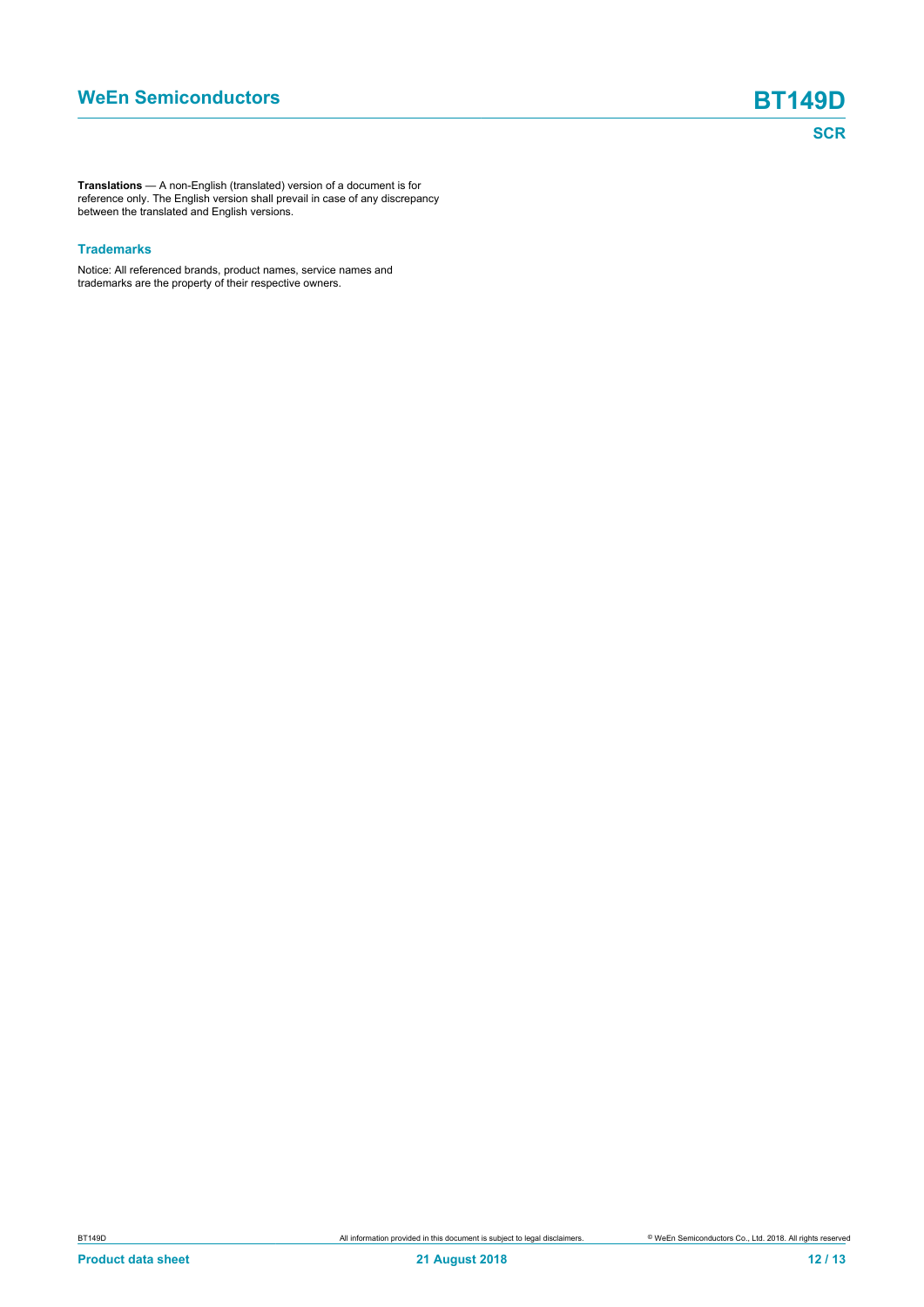**Translations** — A non-English (translated) version of a document is for reference only. The English version shall prevail in case of any discrepancy between the translated and English versions.

#### **Trademarks**

Notice: All referenced brands, product names, service names and trademarks are the property of their respective owners.